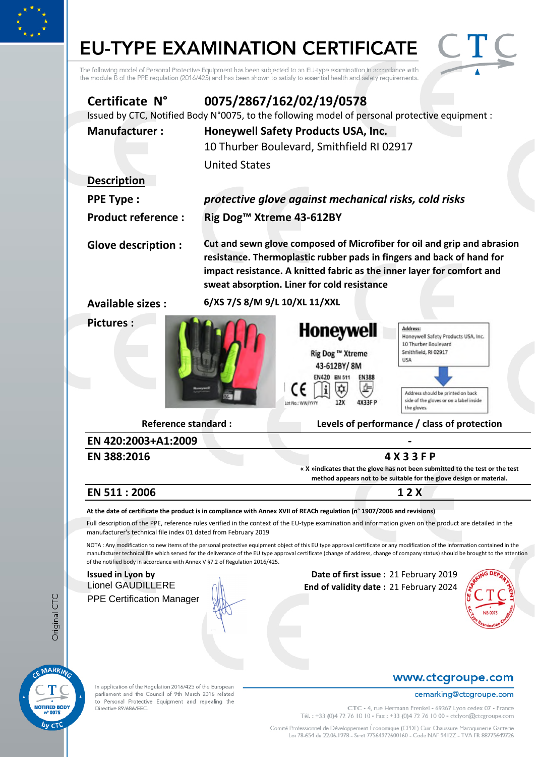# **EU-TYPE EXAMINATION CERTIFICATE**



The following model of Personal Protective Equipment has been subjected to an EU-type examination in accordance with<br>the module B of the PPE regulation (2016/425) and has been shown to satisfy to essential health and safet

| Certificate N°                                                                           |                                      | 0075/2867/162/02/19/0578<br>Issued by CTC, Notified Body N°0075, to the following model of personal protective equipment : |                                                                                                                                                                                                                                                                                                                                                                   |
|------------------------------------------------------------------------------------------|--------------------------------------|----------------------------------------------------------------------------------------------------------------------------|-------------------------------------------------------------------------------------------------------------------------------------------------------------------------------------------------------------------------------------------------------------------------------------------------------------------------------------------------------------------|
| <b>Manufacturer:</b>                                                                     |                                      | Honeywell Safety Products USA, Inc.                                                                                        |                                                                                                                                                                                                                                                                                                                                                                   |
|                                                                                          |                                      | 10 Thurber Boulevard, Smithfield RI 02917                                                                                  |                                                                                                                                                                                                                                                                                                                                                                   |
|                                                                                          | <b>United States</b>                 |                                                                                                                            |                                                                                                                                                                                                                                                                                                                                                                   |
| <b>Description</b>                                                                       |                                      |                                                                                                                            |                                                                                                                                                                                                                                                                                                                                                                   |
| <b>PPE Type:</b>                                                                         |                                      | protective glove against mechanical risks, cold risks                                                                      |                                                                                                                                                                                                                                                                                                                                                                   |
| <b>Product reference:</b>                                                                | Rig Dog <sup>™</sup> Xtreme 43-612BY |                                                                                                                            |                                                                                                                                                                                                                                                                                                                                                                   |
| <b>Glove description:</b>                                                                |                                      | sweat absorption. Liner for cold resistance                                                                                | Cut and sewn glove composed of Microfiber for oil and grip and abrasion<br>resistance. Thermoplastic rubber pads in fingers and back of hand for<br>impact resistance. A knitted fabric as the inner layer for comfort and                                                                                                                                        |
| <b>Available sizes:</b>                                                                  | 6/XS 7/S 8/M 9/L 10/XL 11/XXL        |                                                                                                                            |                                                                                                                                                                                                                                                                                                                                                                   |
| <b>Pictures:</b>                                                                         |                                      | <b>Honeywell</b><br>Rig Dog ™ Xtreme<br>43-612BY/8M<br>EN420 EN 511<br><b>EN388</b><br>12X<br>4X33F P<br>Lat No.: WW/YYYY  | Address:<br>Honeywell Safety Products USA, Inc.<br>10 Thurber Boulevard<br>Smithfield, RI 02917<br><b>USA</b><br>Address should be printed on back<br>side of the gloves or on a label inside<br>the gloves.                                                                                                                                                      |
| <b>Reference standard:</b><br>EN 420:2003+A1:2009                                        |                                      |                                                                                                                            | Levels of performance / class of protection                                                                                                                                                                                                                                                                                                                       |
| EN 388:2016                                                                              |                                      |                                                                                                                            | 4 X 3 3 F P                                                                                                                                                                                                                                                                                                                                                       |
|                                                                                          |                                      |                                                                                                                            | « X »indicates that the glove has not been submitted to the test or the test<br>method appears not to be suitable for the glove design or material.                                                                                                                                                                                                               |
| EN 511:2006                                                                              |                                      |                                                                                                                            | 1 2 X                                                                                                                                                                                                                                                                                                                                                             |
|                                                                                          |                                      | At the date of certificate the product is in compliance with Annex XVII of REACh regulation (n° 1907/2006 and revisions)   |                                                                                                                                                                                                                                                                                                                                                                   |
| manufacturer's technical file index 01 dated from February 2019                          |                                      |                                                                                                                            | Full description of the PPE, reference rules verified in the context of the EU-type examination and information given on the product are detailed in the                                                                                                                                                                                                          |
| of the notified body in accordance with Annex V §7.2 of Regulation 2016/425.             |                                      |                                                                                                                            | NOTA: Any modification to new items of the personal protective equipment object of this EU type approval certificate or any modification of the information contained in the<br>manufacturer technical file which served for the deliverance of the EU type approval certificate (change of address, change of company status) should be brought to the attention |
| <b>Issued in Lyon by</b><br><b>Lionel GAUDILLERE</b><br><b>PPE Certification Manager</b> |                                      | Date of first issue: 21 February 2019<br>End of validity date: 21 February 2024                                            |                                                                                                                                                                                                                                                                                                                                                                   |

In application of the Regulation 2016/425 of the European parliament and the Council of 9th March 2016 related to Personal Protective Equipment and repealing the<br>Directive 89/686/EEC.

#### www.ctcgroupe.com

#### cemarking@ctcgroupe.com

CTC - 4, rue Hermann Frenkel - 69367 Lyon cedex 07 - France Tél.: +33 (0)4 72 76 10 10 - Fax: +33 (0)4 72 76 10 00 - ctclyon@ctcgroupe.com

Comité Professionnel de Développement Économique (CPDE) Cuir Chaussure Maroquinerie Ganterie<br>Loi 78-654 du 22.06.1978 - Siret 77564972600160 - Code NAF 9412Z - TVA FR 88775649726

MARKING

T

NOTIFIED BODY

 $b<sub>V</sub>$ CTC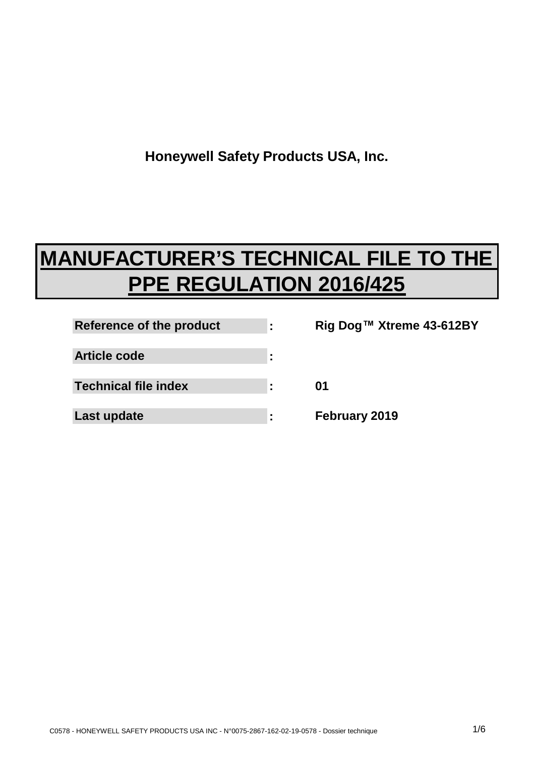**Honeywell Safety Products USA, Inc.**

# **MANUFACTURER'S TECHNICAL FILE TO THE PPE REGULATION 2016/425**

| Reference of the product    |   |
|-----------------------------|---|
| Article code                | ٠ |
| <b>Technical file index</b> | ٠ |
| Last update                 |   |

**Rig Dog™ Xtreme 43-612BY 01 February 2019**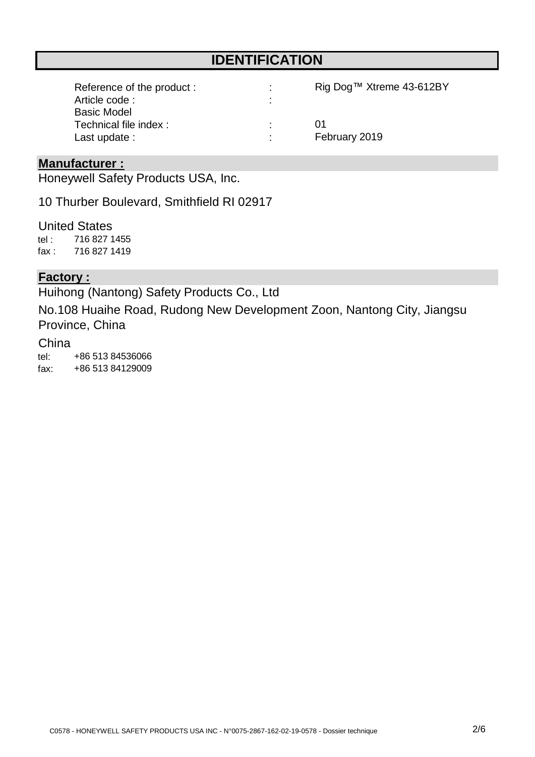### **IDENTIFICATION**

| Reference of the product: | Rig Dog™ Xtreme 43-612BY |
|---------------------------|--------------------------|
| Article code:             |                          |
| <b>Basic Model</b>        |                          |
| Technical file index:     | (11)                     |
| Last update :             | February 2019            |

#### **Manufacturer :**

Honeywell Safety Products USA, Inc.

10 Thurber Boulevard, Smithfield RI 02917

tel : fax : United States 716 827 1419 716 827 1455

#### **Factory :**

Huihong (Nantong) Safety Products Co., Ltd

No.108 Huaihe Road, Rudong New Development Zoon, Nantong City, Jiangsu Province, China

#### China

tel: fax: +86 513 84536066 +86 513 84129009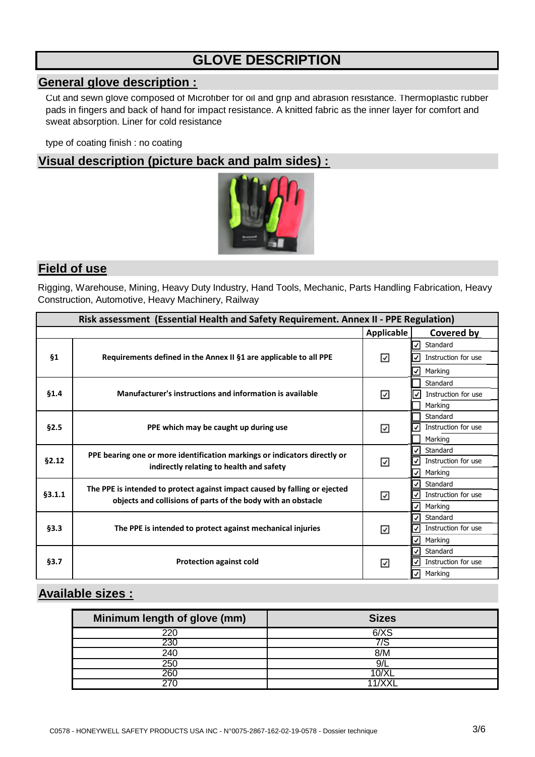## **GLOVE DESCRIPTION**

#### **General glove description :**

Cut and sewn glove composed of Microfiber for oil and grip and abrasion resistance. Thermoplastic rubber pads in fingers and back of hand for impact resistance. A knitted fabric as the inner layer for comfort and sweat absorption. Liner for cold resistance

type of coating finish : no coating

#### **Visual description (picture back and palm sides) :**



#### **Field of use**

Rigging, Warehouse, Mining, Heavy Duty Industry, Hand Tools, Mechanic, Parts Handling Fabrication, Heavy Construction, Automotive, Heavy Machinery, Railway

| Risk assessment (Essential Health and Safety Requirement. Annex II - PPE Regulation) |                                                                            |                   |                                     |
|--------------------------------------------------------------------------------------|----------------------------------------------------------------------------|-------------------|-------------------------------------|
|                                                                                      |                                                                            | <b>Applicable</b> | Covered by                          |
|                                                                                      |                                                                            |                   | $\checkmark$<br>Standard            |
| <b>§1</b>                                                                            | Requirements defined in the Annex II §1 are applicable to all PPE          | ⊽                 | Instruction for use<br>✓            |
|                                                                                      |                                                                            |                   | Marking<br>✓                        |
|                                                                                      |                                                                            |                   | Standard                            |
| §1.4                                                                                 | Manufacturer's instructions and information is available                   | ☑                 | Instruction for use                 |
|                                                                                      |                                                                            |                   | Marking                             |
|                                                                                      |                                                                            |                   | Standard                            |
| §2.5                                                                                 | PPE which may be caught up during use                                      | ☑                 | Instruction for use<br>✓            |
|                                                                                      |                                                                            |                   | Marking                             |
|                                                                                      | PPE bearing one or more identification markings or indicators directly or  |                   | ✓<br>Standard                       |
| §2.12                                                                                | indirectly relating to health and safety                                   | ⊽                 | Instruction for use<br>✓            |
|                                                                                      |                                                                            |                   | $\checkmark$<br>Marking             |
|                                                                                      | The PPE is intended to protect against impact caused by falling or ejected |                   | Standard<br>✓                       |
| §3.1.1                                                                               | objects and collisions of parts of the body with an obstacle               | ⊽                 | Instruction for use                 |
|                                                                                      |                                                                            |                   | $\checkmark$<br>Marking             |
|                                                                                      |                                                                            |                   | Standard<br>√                       |
| §3.3                                                                                 | The PPE is intended to protect against mechanical injuries                 | ☑                 | Instruction for use<br>$\checkmark$ |
|                                                                                      |                                                                            |                   | √<br>Marking                        |
|                                                                                      |                                                                            |                   | ✓<br>Standard                       |
| §3.7                                                                                 | <b>Protection against cold</b>                                             | ☑                 | Instruction for use<br>√            |
|                                                                                      |                                                                            |                   | $\overline{\mathsf{v}}$<br>Marking  |

#### **Available sizes :**

| Minimum length of glove (mm) | <b>Sizes</b> |
|------------------------------|--------------|
| 22(                          | $6/\chi$     |
| 230                          |              |
| 240                          | 8/M          |
| 25C                          | 9/l          |
| 260                          | 0/X          |
|                              |              |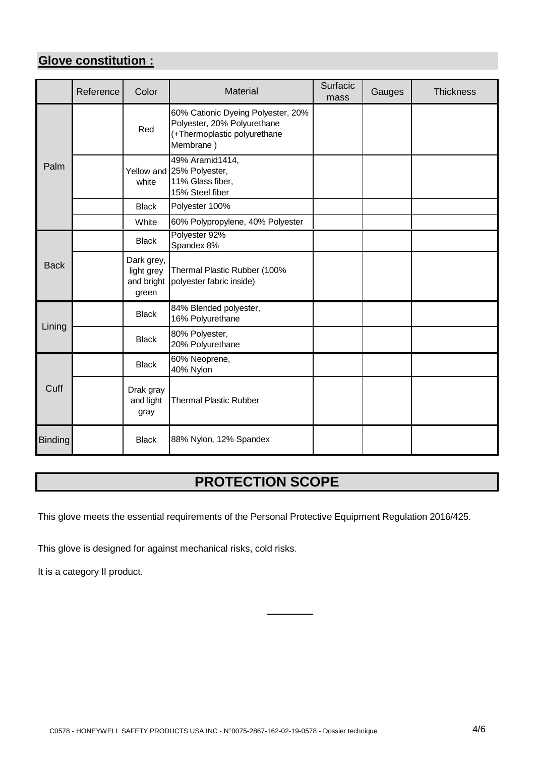#### **Glove constitution :**

|                | Reference | Color                                           | Material                                                                                                       | Surfacic<br>mass | Gauges | <b>Thickness</b> |
|----------------|-----------|-------------------------------------------------|----------------------------------------------------------------------------------------------------------------|------------------|--------|------------------|
|                |           | Red                                             | 60% Cationic Dyeing Polyester, 20%<br>Polyester, 20% Polyurethane<br>(+Thermoplastic polyurethane<br>Membrane) |                  |        |                  |
| Palm           |           | white                                           | 49% Aramid1414,<br>Yellow and 25% Polyester,<br>11% Glass fiber,<br>15% Steel fiber                            |                  |        |                  |
|                |           | <b>Black</b>                                    | Polyester 100%                                                                                                 |                  |        |                  |
|                |           | White                                           | 60% Polypropylene, 40% Polyester                                                                               |                  |        |                  |
|                |           | <b>Black</b>                                    | Polyester 92%<br>Spandex 8%                                                                                    |                  |        |                  |
| <b>Back</b>    |           | Dark grey,<br>light grey<br>and bright<br>green | Thermal Plastic Rubber (100%<br>polyester fabric inside)                                                       |                  |        |                  |
|                |           | <b>Black</b>                                    | 84% Blended polyester,<br>16% Polyurethane                                                                     |                  |        |                  |
| Lining         |           | <b>Black</b>                                    | 80% Polyester,<br>20% Polyurethane                                                                             |                  |        |                  |
|                |           | <b>Black</b>                                    | 60% Neoprene,<br>40% Nylon                                                                                     |                  |        |                  |
| Cuff           |           | Drak gray<br>and light<br>gray                  | <b>Thermal Plastic Rubber</b>                                                                                  |                  |        |                  |
| <b>Binding</b> |           | <b>Black</b>                                    | 88% Nylon, 12% Spandex                                                                                         |                  |        |                  |

## **PROTECTION SCOPE**

This glove meets the essential requirements of the Personal Protective Equipment Regulation 2016/425.

This glove is designed for against mechanical risks, cold risks.

It is a category II product.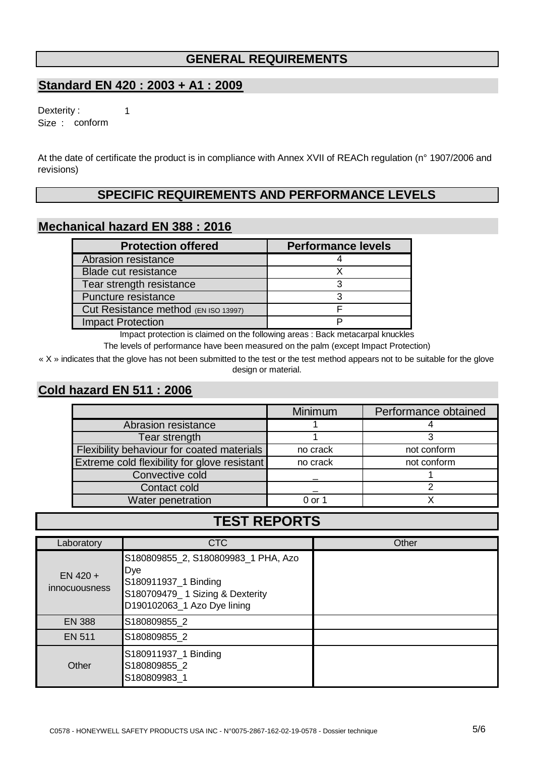#### **GENERAL REQUIREMENTS**

#### **Standard EN 420 : 2003 + A1 : 2009**

1

Size : conform Dexterity :

At the date of certificate the product is in compliance with Annex XVII of REACh regulation (n° 1907/2006 and revisions)

#### **SPECIFIC REQUIREMENTS AND PERFORMANCE LEVELS**

#### **Mechanical hazard EN 388 : 2016**

| <b>Protection offered</b>            | <b>Performance levels</b> |
|--------------------------------------|---------------------------|
| Abrasion resistance                  |                           |
| <b>Blade cut resistance</b>          |                           |
| Tear strength resistance             |                           |
| Puncture resistance                  |                           |
| Cut Resistance method (EN ISO 13997) |                           |
| <b>Impact Protection</b>             |                           |

Impact protection is claimed on the following areas : Back metacarpal knuckles

The levels of performance have been measured on the palm (except Impact Protection)

« X » indicates that the glove has not been submitted to the test or the test method appears not to be suitable for the glove design or material.

#### **Cold hazard EN 511 : 2006**

|                                              | Minimum  | Performance obtained |
|----------------------------------------------|----------|----------------------|
| Abrasion resistance                          |          |                      |
| Tear strength                                |          |                      |
| Flexibility behaviour for coated materials   | no crack | not conform          |
| Extreme cold flexibility for glove resistant | no crack | not conform          |
| Convective cold                              |          |                      |
| Contact cold                                 |          |                      |
| Water penetration                            | 0 or 1   |                      |

### **TEST REPORTS**

| Laboratory                         | <b>CTC</b>                                                                                                                           | Other |
|------------------------------------|--------------------------------------------------------------------------------------------------------------------------------------|-------|
| $EN$ 420 +<br><i>innocuousness</i> | S180809855_2, S180809983_1 PHA, Azo<br>Dye<br>S180911937_1 Binding<br>S180709479_1 Sizing & Dexterity<br>D190102063_1 Azo Dye lining |       |
| EN 388                             | S180809855 2                                                                                                                         |       |
| <b>EN 511</b>                      | S180809855 2                                                                                                                         |       |
| Other                              | S180911937_1 Binding<br>S180809855_2<br>S180809983_1                                                                                 |       |